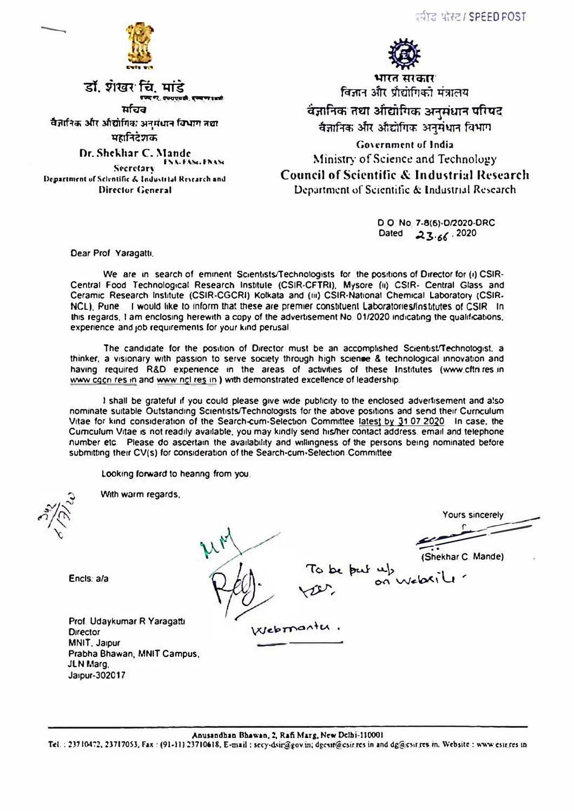चीड पोस्ट। SPEED FOST



डाॅ. शंखर चिं. मांडे

ਸ਼ਹਿਰ वैज्ञानिक और अधिागिक अनुमंधान विभाग तथा महानिदेशक

Dr. Shekhar C. Mande **ENA-FANCERANC** Secretary Department of Scientific & Industrial Research and

Director General



भारत सरकार' विज्ञान और प्रौद्योगिकी मंत्रालय

वंज्ञानिक तथा आँद्योगिक अनुसंधान परिषद वैज्ञानिक और औद्योगिक अनुमंधान विभाग

Government of India Ministry of Science and Technology **Council of Scientific & Industrial Research** Department of Scientific & Industrial Research

> D O No. 7-8(6)-D/2020-DRC Dated 23.66.2020

Dear Prof Yaragatti,

We are in search of eminent Scientists/Technologists for the positions of Director for (i) CSIR-Central Food Technological Research Institute (CSIR-CFTRI), Mysore (ii) CSIR- Central Glass and Ceramic Research Institute (CSIR-CGCRI) Kolkata and (iii) CSIR-National Chemical Laboratory (CSIR-NCL), Pune I would like to inform that these are premier constituent Laboratories/Institutes of CSIR. In this regards, I am enclosing herewith a copy of the advertisement No. 01/2020 indicating the qualifications, experience and job requirements for your kind perusal.

The candidate for the position of Director must be an accomplished Scientist/Technologist, a thinker; a visionary with passion to serve society through high science & technological innovation and having required R&D experience in the areas of activities of these Institutes (www.cftn.res.in www.cgcn.res.in and www.ncl.res.in.) with demonstrated excellence of leadership.

I shall be grateful if you could please give wide publicity to the enclosed advertisement and also nominate suitable Outstanding Scientists/Technologists for the above positions and send their Curnculum Vitae for kind consideration of the Search-cum-Selection Committee latest by 31.07.2020 In case, the Curriculum Vitae is not readily available, you may kindly send his/her contact address, email and telephone number etc. Please do ascertain the availability and willingness of the persons being nominated before submitting their CV(s) for consideration of the Search-cum-Selection Committee

Looking forward to heanng from you.

With warm regards,

Encls: a/a

ours sincerely To be but up<br>on webxile

Prof. Udaykumar R Yaragatu **Director** MNIT, Jaipur Prabha Bhawan, MNIT Campus, JLN Marg. Jaipur-302017

Webmantu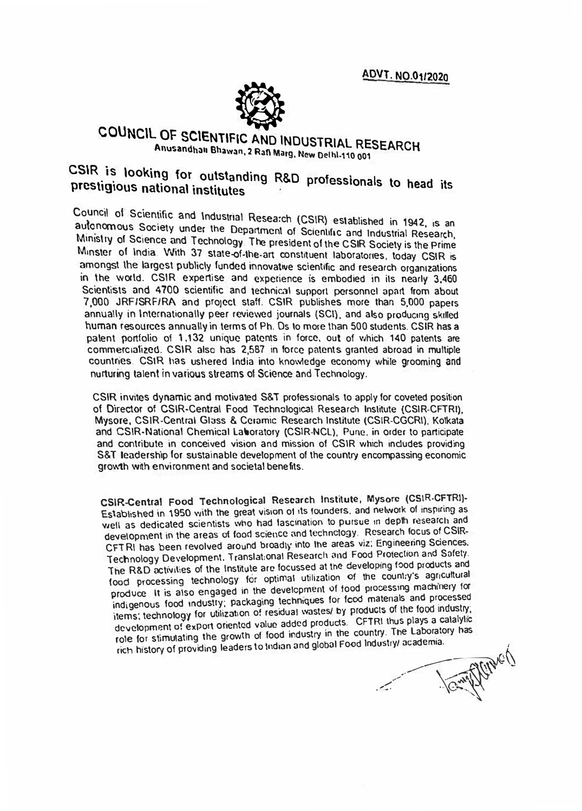ADVT. NO.01/2020



## COUNCIL OF SCIENTIFIC AND INDUSTRIAL RESEARCH Anusandhan Bhawan, 2 Rafl Marg, New Delhl-110 001

## CSIR is looking for outstanding R&D professionals to head its prestigious national institutes

Council of Scientific and Industrial Research (CSIR) established in 1942, is an autonomous Society under the Department of Scientific and Industrial Research, Ministry of Science and Technology The president of the CSIR Society is the Prime Minster of India. With 37 state-of-the-art constituent laboratories, today CSIR is amongst the largest publicly funded innovative scientific and research organizations in the world. CSIR expertise and experience is embodied in its nearly 3,460 Scientists and 4700 scientific and technical support personnel apart from about 7,000 JRF/SRF/RA and project staff. CSIR publishes more than 5,000 papers annually in Internationally peer reviewed journals (SCI), and also producing skilled human resources annually in terms of Ph. Ds to more than 500 students. CSIR has a palent portfolio of 1,132 unique patents in force, out of which 140 patents are commercialized. CSIR also has 2,587 in force patents granted abroad in multiple countries. CSIR has ushered India into knowledge economy while grooming and nurturing talent in various streams of Science and Technology.

CSIR invites dynamic and motivated S&T professionals to apply for coveted position of Director of CSIR-Central Food Technological Research Institute (CSIR-CFTRI), Mysore, CSIR-Central Glass & Ceramic Research Institute (CSIR-CGCRI), Kolkata and CSIR-National Chemical Laboratory (CSIR-NCL), Pune, in order to participate and contribute in conceived vision and mission of CSIR which includes providing S&T leadership for sustainable development of the country encompassing economic growth with environment and societal benefits.

CSIR-Central Food Technological Research Institute, Mysore (CSIR-CFTRI)-Established in 1950 with the great vision of its founders, and network of inspiring as well as dedicated scientists who had fascination to pursue in depth research and development in the areas of food science and technology. Research focus of CSIR-CFTRI has been revolved around broadly into the areas viz; Engineering Sciences, Technology Development. Translational Research and Food Protection and Safety. The R&D activities of the Institute are focussed at the developing food products and food processing technology for optimal utilization of the country's agricultural produce It is also engaged in the development of food processing machinery for indigenous food industry; packaging techniques for food materials and processed items; technology for utilization of residual wastes/ by products of the food industry; development of export oriented value added products. CFTRI thus plays a catalytic role for stimulating the growth of food industry in the country. The Laboratory has rich history of providing leaders to Indian and global Food Industry/ academia.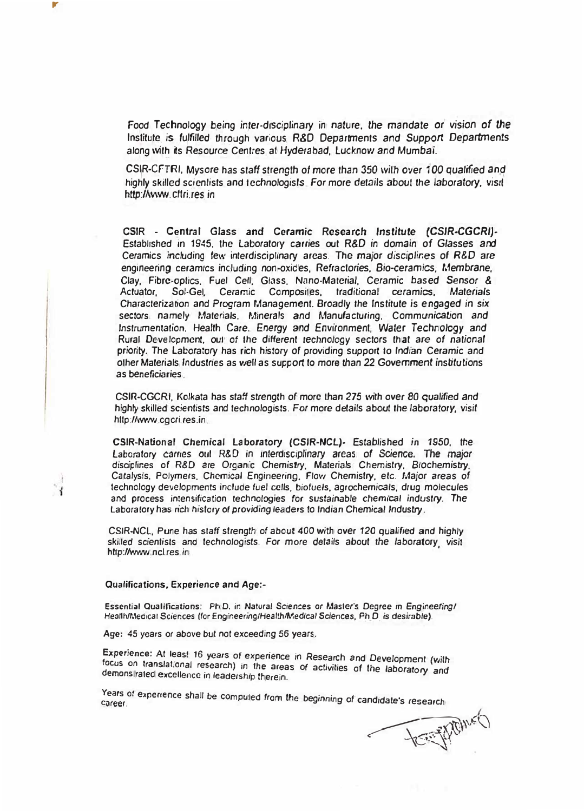Food *Technology* being *inter-disciplinary* in *nature.* the *mandate or vision of the* Institute is *fulfilled* through *various R&D Departments and Supp�rt Departments* along with its Resource Centres al *Hyderabad,* Lucknow *and* Mumba1.

CSIR-CFTRI, *Mysore* has *staff strength of more than* 35� *with over 100 qualified �nd* highly skilled scientists and *technologisls. For more details about the laboratory*, visit http://www.cftri.res in

CSIR • Central Glass and Ceramic Research *Institute (CSIR-CGCRI)·* Established in 1945, the Laboratory carries out R&D in domain *of* Glasses *and* Ceramics including few interdisciplinary areas. The *major* disciplines of *R&D are* engineering ceramics including non-oxides, Refractories. *Bio-ceramics. Membrane, Clay,* Fibre-oplics. Fuel Cell. Glass. Nano-Material, Ceramic *based Sensor* & Actuator, Sol-Gel. Ceramic Composites, *traditional* ceramics. Materials Characterization *and* Program Management *Broadly* the Institute is *engaged* in *six* sectors namely Materials. Minerals and Manufacturing, Communication and *Instrumentation.* Heatth *Care. Energy and* Environment, *Water Technology and* Rural Development, out of the *different technology* sectors !hat *are of national priority.* The Laboratory has rich history *of* providing support to *Indian* Ceramic and other Materials Industries as *well* as support to more than *22 Government* institutions as beneficiaries

CSIR-CGCRI, Kolkata has *staff* strength of more than 275 with *over* 80 qualified and highly skilled scientists *and* technologists. For more details about the laboratory, visit http://www.cgcri.res.in.

**CSIR-National** Chemical **Laboratory (CSIR-NCL)-** Established in **1950,** the Laboratory carries out R&D in interdisciplinary areas of Science. The major disciplines of R&D are Organic Chemistry, Materials Chemistry, Biochemistry, Catalysis. Polymers. *Chemical* Engineering, Flow Chemistry, etc. Major *areas* of technology developments include fuel cells. biotuels. agrochemicals, drug molecules **and** process intensification tech�ologies for sustainable *chemical* industry. The Laboratory has *nch* history *of providing* leaders *to Indian* Chemical Jndusby.

CSIR-NC�. P une has *staff* strength of about 400 with *over* 120 *quali<sup>f</sup> ied and* highly \_ skilled scientists and *technolog1sts. For* more *details* about *the laboratory visit*  http://www.ncl.res.in

## Qualifications, Experience *and* Age:-

,.

Essential Qualifications: Ph.D. in Natural Sciences or Master's Degree in Engineering/ Heallh/Medical Sciences *(for Engineering/Health/Medical Sciences, Ph D is desirable).* 

Age: 45 years or above but not exceeding 56 *years.*

Experience: At least 16 *years* of experience *in* Research *and* Development *(with* demonstrated excellence in leadership therein. focus on translational research) in the areas of activities of the laboratory and demonstrated excellence in leadership therein.

Years of experience shall be computed from the beginning of candidate's research

 $Q^2$ - LEE PLAN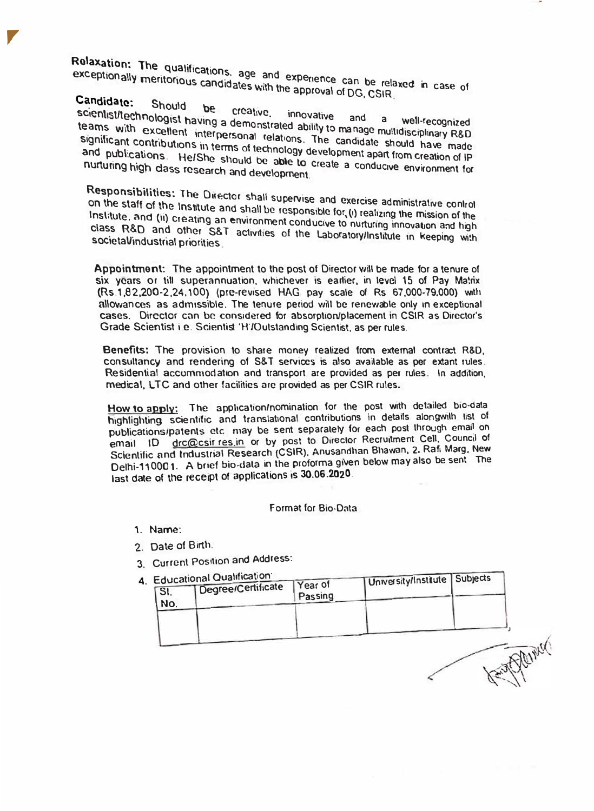Relaxation: The qualifications, age and experience can be relaxed in case of exceptionally meritorious candidates with the approval of DG, CSIR.

Candidate: Should be scientist/technologist having a demonstrated ability to manage multidisciplinary R&D creative. teams with excellent interpersonal relations. The candidate should have made significant contributions in terms of technology development apart from creation of IP and publications. He/She should be able to create a conducive environment for nurturing high class research and development.

Responsibilities: The Director shall supervise and exercise administrative control on the staff of the Institute and shall be responsible for, (i) realizing the mission of the Institute, and (ii) creating an environment conducive to nurturing innovation and high class R&D and other S&T activities of the Laboratory/Institute in keeping with societal/industrial priorities.

Appointment: The appointment to the post of Director will be made for a tenure of six years or till superannuation, whichever is earlier, in level 15 of Pay Matrix (Rs.1,82,200-2,24,100) (pre-revised HAG pay scale of Rs 67,000-79,000) with allowances as admissible. The tenure period will be renewable only in exceptional cases. Director can be considered for absorption/placement in CSIR as Director's Grade Scientist i.e. Scientist 'H'/Outstanding Scientist, as per rules.

Benefits: The provision to share money realized from external contract R&D. consultancy and rendering of S&T services is also available as per extant rules. Residential accommodation and transport are provided as per rules. In addition, medical, LTC and other facilities are provided as per CSIR rules.

How to apply: The application/nomination for the post with detailed bio-data highlighting scientific and translational contributions in details alongwith list of publications/patents etc may be sent separately for each post through email on email ID drc@csir res.in or by post to Director Recruitment Cell, Council of Scientific and Industrial Research (CSIR), Anusandhan Bhawan, 2, Rafi Marg, New Delhi-110001. A brief bio-data in the proforma given below may also be sent The last date of the receipt of applications is 30.06.2020.

Format for Bio-Data

- 1. Name:
- 2. Date of Birth.
- 3. Current Position and Address:
- $4<sup>1</sup>$

| Educational Qualification | Year of            |         |                                 |
|---------------------------|--------------------|---------|---------------------------------|
|                           |                    |         |                                 |
|                           |                    |         |                                 |
|                           |                    |         |                                 |
|                           | Degree/Certificate | Passing | University/Institute   Subjects |

 $\sqrt{2}$